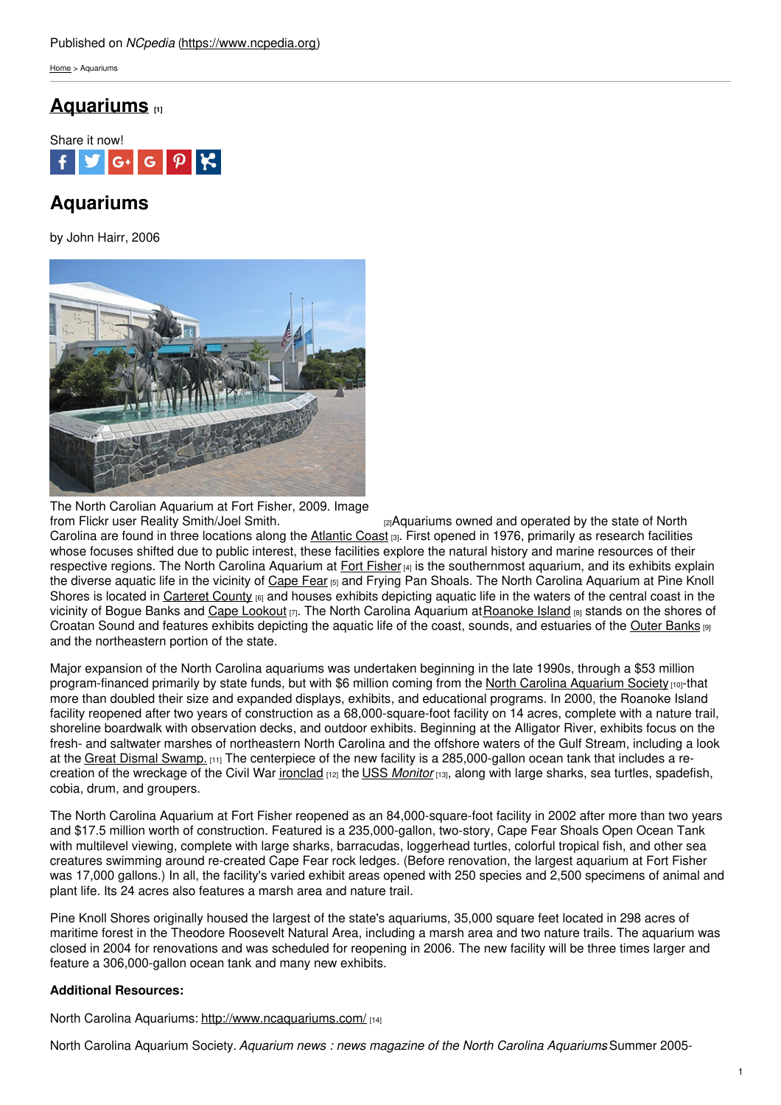[Home](https://www.ncpedia.org/) > Aquariums

# **[Aquariums](https://www.ncpedia.org/aquariums) [1]**



# **Aquariums**

by John Hairr, 2006



The North Carolian Aquarium at Fort Fisher, 2009. Image from Flickr user Reality [Smith/Joel](https://www.flickr.com/photos/smithpix/3872412955/) Smith. **Example 20** <sub>[2]</sub>Aquariums owned and operated by the state of North

Carolina are found in three locations along the [Atlantic](https://www.ncpedia.org/geography/region/coastal-plain) Coast [3]. First opened in 1976, primarily as research facilities whose focuses shifted due to public interest, these facilities explore the natural history and marine resources of their respective regions. The North Carolina Aquarium at Fort [Fisher](https://www.ncpedia.org/fort-fisher) [4] is the southernmost aquarium, and its exhibits explain the diverse aquatic life in the vicinity of [Cape](https://www.ncpedia.org/cape-fear) Fear [5] and Frying Pan Shoals. The North Carolina Aquarium at Pine Knoll Shores is located in [Carteret](https://www.ncpedia.org/geography/carteret) County <sup>[6]</sup> and houses exhibits depicting aquatic life in the waters of the central coast in the vicinity of Bogue Banks and Cape [Lookout](https://www.ncpedia.org/cape-lookout-light-station)  $_{[7]}$ . The North Carolina Aquarium at [Roanoke](https://www.ncpedia.org/history/colonial/roanoke-fact-or-fiction) Island  $_{[8]}$  stands on the shores of Croatan Sound and features exhibits depicting the aquatic life of the coast, sounds, and estuaries of the Outer [Banks](https://www.ncpedia.org/outer-banks) [9] and the northeastern portion of the state.

Major expansion of the North Carolina aquariums was undertaken beginning in the late 1990s, through a \$53 million program-financed primarily by state funds, but with \$6 million coming from the North Carolina [Aquarium](https://ncaquariumsociety.com/) Society [10]-that more than doubled their size and expanded displays, exhibits, and educational programs. In 2000, the Roanoke Island facility reopened after two years of construction as a 68,000-square-foot facility on 14 acres, complete with a nature trail, shoreline boardwalk with observation decks, and outdoor exhibits. Beginning at the Alligator River, exhibits focus on the fresh- and saltwater marshes of northeastern North Carolina and the offshore waters of the Gulf Stream, including a look at the Great Dismal [Swamp.](https://www.ncpedia.org/great-dismal-swamp) [11] The centerpiece of the new facility is a 285,000-gallon ocean tank that includes a recreation of the wreckage of the Civil War [ironclad](https://www.ncpedia.org/ironclads) [12] the USS *[Monitor](https://www.ncpedia.org/monitor-uss)* [13], along with large sharks, sea turtles, spadefish, cobia, drum, and groupers.

The North Carolina Aquarium at Fort Fisher reopened as an 84,000-square-foot facility in 2002 after more than two years and \$17.5 million worth of construction. Featured is a 235,000-gallon, two-story, Cape Fear Shoals Open Ocean Tank with multilevel viewing, complete with large sharks, barracudas, loggerhead turtles, colorful tropical fish, and other sea creatures swimming around re-created Cape Fear rock ledges. (Before renovation, the largest aquarium at Fort Fisher was 17,000 gallons.) In all, the facility's varied exhibit areas opened with 250 species and 2,500 specimens of animal and plant life. Its 24 acres also features a marsh area and nature trail.

Pine Knoll Shores originally housed the largest of the state's aquariums, 35,000 square feet located in 298 acres of maritime forest in the Theodore Roosevelt Natural Area, including a marsh area and two nature trails. The aquarium was closed in 2004 for renovations and was scheduled for reopening in 2006. The new facility will be three times larger and feature a 306,000-gallon ocean tank and many new exhibits.

### **Additional Resources:**

North Carolina Aquariums: <http://www.ncaquariums.com/> [14]

North Carolina Aquarium Society. *Aquarium news : news magazine of the North Carolina Aquariums*. Summer 2005-